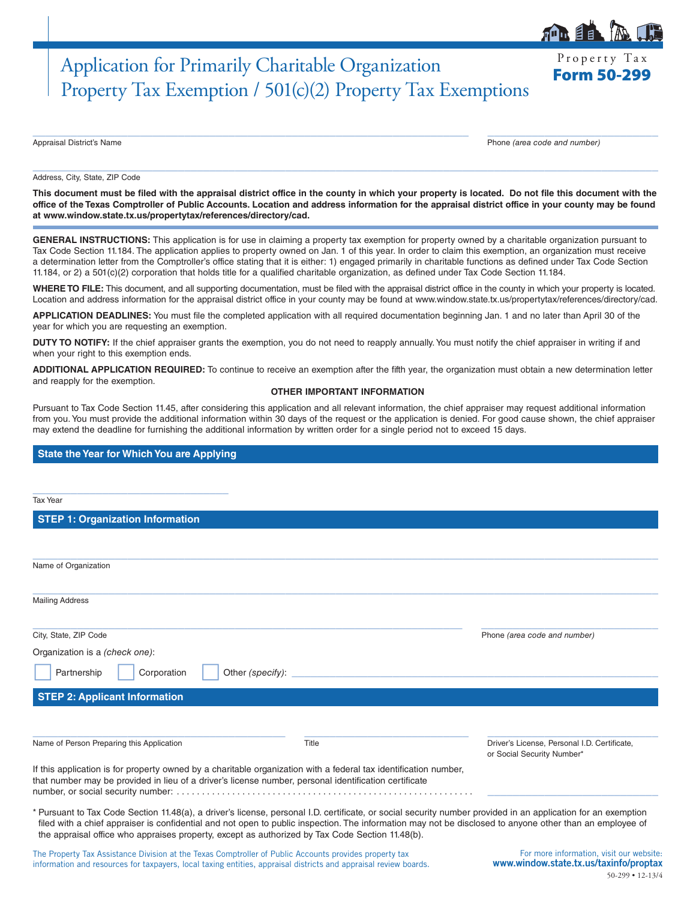# Application for Primarily Charitable Organization Frequence Research Property Tax Exemption / 501(c)(2) Property Tax Exemptions

Appraisal District's Name Phone *(area code and number)*

#### Address, City, State, ZIP Code

**This document must be filed with the appraisal district office in the county in which your property is located. Do not file this document with the office of the Texas Comptroller of Public Accounts. Location and address information for the appraisal district office in your county may be found at www.window.state.tx.us/propertytax/references/directory/cad.**

 $\_$  ,  $\_$  ,  $\_$  ,  $\_$  ,  $\_$  ,  $\_$  ,  $\_$  ,  $\_$  ,  $\_$  ,  $\_$  ,  $\_$  ,  $\_$  ,  $\_$  ,  $\_$  ,  $\_$  ,  $\_$  ,  $\_$  ,  $\_$  ,  $\_$  ,  $\_$  ,  $\_$  ,  $\_$  ,  $\_$  ,  $\_$  ,  $\_$  ,  $\_$  ,  $\_$  ,  $\_$  ,  $\_$  ,  $\_$  ,  $\_$  ,  $\_$  ,  $\_$  ,  $\_$  ,  $\_$  ,  $\_$  ,  $\_$  ,

 $\_$  , and the set of the set of the set of the set of the set of the set of the set of the set of the set of the set of the set of the set of the set of the set of the set of the set of the set of the set of the set of th

**GENERAL INSTRUCTIONS:** This application is for use in claiming a property tax exemption for property owned by a charitable organization pursuant to Tax Code Section 11.184. The application applies to property owned on Jan. 1 of this year. In order to claim this exemption, an organization must receive a determination letter from the Comptroller's office stating that it is either: 1) engaged primarily in charitable functions as defined under Tax Code Section 11.184, or 2) a 501(c)(2) corporation that holds title for a qualified charitable organization, as defined under Tax Code Section 11.184.

WHERE TO FILE: This document, and all supporting documentation, must be filed with the appraisal district office in the county in which your property is located. Location and address information for the appraisal district office in your county may be found at www.window.state.tx.us/propertytax/references/directory/cad.

**APPLICATION DEADLINES:** You must file the completed application with all required documentation beginning Jan. 1 and no later than April 30 of the year for which you are requesting an exemption.

**DUTY TO NOTIFY:** If the chief appraiser grants the exemption, you do not need to reapply annually. You must notify the chief appraiser in writing if and when your right to this exemption ends.

**ADDITIONAL APPLICATION REQUIRED:** To continue to receive an exemption after the fifth year, the organization must obtain a new determination letter and reapply for the exemption.

#### **OTHER IMPORTANT INFORMATION**

Pursuant to Tax Code Section 11.45, after considering this application and all relevant information, the chief appraiser may request additional information from you. You must provide the additional information within 30 days of the request or the application is denied. For good cause shown, the chief appraiser may extend the deadline for furnishing the additional information by written order for a single period not to exceed 15 days.

## **State the Year for Which You are Applying**

| <b>Tax Year</b>                                                                                                                                                                                                                                                                                                                                                                                                              |       |                                                                            |
|------------------------------------------------------------------------------------------------------------------------------------------------------------------------------------------------------------------------------------------------------------------------------------------------------------------------------------------------------------------------------------------------------------------------------|-------|----------------------------------------------------------------------------|
|                                                                                                                                                                                                                                                                                                                                                                                                                              |       |                                                                            |
| <b>STEP 1: Organization Information</b>                                                                                                                                                                                                                                                                                                                                                                                      |       |                                                                            |
|                                                                                                                                                                                                                                                                                                                                                                                                                              |       |                                                                            |
| Name of Organization                                                                                                                                                                                                                                                                                                                                                                                                         |       |                                                                            |
|                                                                                                                                                                                                                                                                                                                                                                                                                              |       |                                                                            |
| <b>Mailing Address</b>                                                                                                                                                                                                                                                                                                                                                                                                       |       |                                                                            |
|                                                                                                                                                                                                                                                                                                                                                                                                                              |       |                                                                            |
| City, State, ZIP Code                                                                                                                                                                                                                                                                                                                                                                                                        |       | Phone (area code and number)                                               |
| Organization is a (check one):                                                                                                                                                                                                                                                                                                                                                                                               |       |                                                                            |
| Partnership<br>Corporation<br>Other (specify):                                                                                                                                                                                                                                                                                                                                                                               |       |                                                                            |
| <b>STEP 2: Applicant Information</b>                                                                                                                                                                                                                                                                                                                                                                                         |       |                                                                            |
|                                                                                                                                                                                                                                                                                                                                                                                                                              |       |                                                                            |
| Name of Person Preparing this Application                                                                                                                                                                                                                                                                                                                                                                                    | Title | Driver's License, Personal I.D. Certificate,<br>or Social Security Number* |
| If this application is for property owned by a charitable organization with a federal tax identification number,<br>that number may be provided in lieu of a driver's license number, personal identification certificate                                                                                                                                                                                                    |       |                                                                            |
| * Pursuant to Tax Code Section 11.48(a), a driver's license, personal I.D. certificate, or social security number provided in an application for an exemption<br>filed with a chief appraiser is confidential and not open to public inspection. The information may not be disclosed to anyone other than an employee of<br>the appraisal office who appraises property, except as authorized by Tax Code Section 11.48(b). |       |                                                                            |

The Property Tax Assistance Division at the Texas Comptroller of Public Accounts provides property tax information and resources for taxpayers, local taxing entities, appraisal districts and appraisal review boards.

For more information, visit our website: www.window.state.tx.us/taxinfo/proptax 50-299 • 12-13/4



Property Tax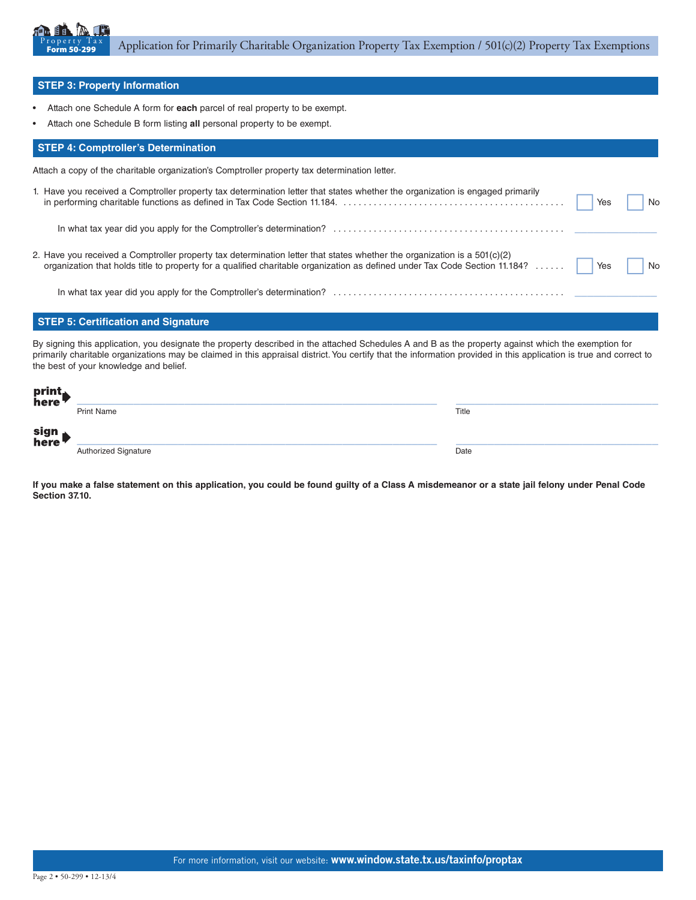

### **STEP 3: Property Information**

- Attach one Schedule A form for **each** parcel of real property to be exempt.
- Attach one Schedule B form listing **all** personal property to be exempt.

#### **STEP 4: Comptroller's Determination**

Attach a copy of the charitable organization's Comptroller property tax determination letter.

| 1. Have you received a Comptroller property tax determination letter that states whether the organization is engaged primarily                                                                                                                                 | No |
|----------------------------------------------------------------------------------------------------------------------------------------------------------------------------------------------------------------------------------------------------------------|----|
|                                                                                                                                                                                                                                                                |    |
| 2. Have you received a Comptroller property tax determination letter that states whether the organization is a $501(c)(2)$<br>organization that holds title to property for a qualified charitable organization as defined under Tax Code Section 11.184?  Yes |    |
|                                                                                                                                                                                                                                                                |    |

## **STEP 5: Certification and Signature**

By signing this application, you designate the property described in the attached Schedules A and B as the property against which the exemption for primarily charitable organizations may be claimed in this appraisal district. You certify that the information provided in this application is true and correct to the best of your knowledge and belief.

| print<br>here |                             |       |
|---------------|-----------------------------|-------|
|               | <b>Print Name</b>           | Title |
| sign<br>here  |                             |       |
|               | <b>Authorized Signature</b> | Date  |

**If you make a false statement on this application, you could be found guilty of a Class A misdemeanor or a state jail felony under Penal Code Section 37.10.**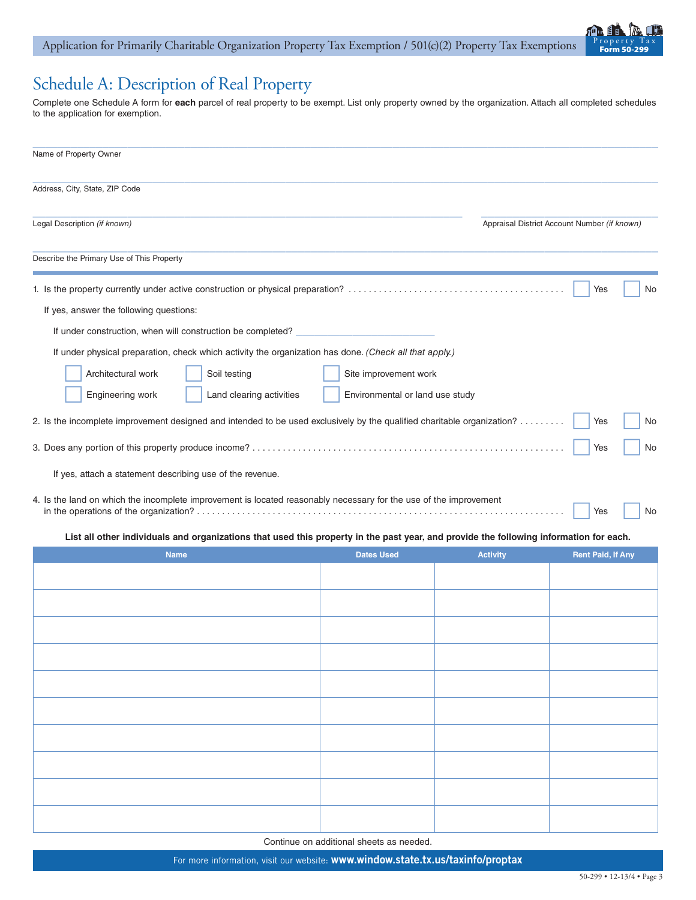

# Schedule A: Description of Real Property

Complete one Schedule A form for **each** parcel of real property to be exempt. List only property owned by the organization. Attach all completed schedules to the application for exemption.

| Name of Property Owner                                                                                                                 |                                 |                 |                                              |
|----------------------------------------------------------------------------------------------------------------------------------------|---------------------------------|-----------------|----------------------------------------------|
| Address, City, State, ZIP Code                                                                                                         |                                 |                 |                                              |
| Legal Description (if known)                                                                                                           |                                 |                 | Appraisal District Account Number (if known) |
| Describe the Primary Use of This Property                                                                                              |                                 |                 |                                              |
|                                                                                                                                        |                                 |                 | Yes<br>No                                    |
| If yes, answer the following questions:                                                                                                |                                 |                 |                                              |
| If under construction, when will construction be completed?                                                                            |                                 |                 |                                              |
| If under physical preparation, check which activity the organization has done. (Check all that apply.)                                 |                                 |                 |                                              |
| Architectural work<br>Soil testing                                                                                                     | Site improvement work           |                 |                                              |
| Engineering work<br>Land clearing activities                                                                                           | Environmental or land use study |                 |                                              |
| 2. Is the incomplete improvement designed and intended to be used exclusively by the qualified charitable organization?                |                                 |                 | Yes<br>No                                    |
|                                                                                                                                        |                                 |                 | No<br>Yes                                    |
| If yes, attach a statement describing use of the revenue.                                                                              |                                 |                 |                                              |
| 4. Is the land on which the incomplete improvement is located reasonably necessary for the use of the improvement<br>No<br>Yes         |                                 |                 |                                              |
| List all other individuals and organizations that used this property in the past year, and provide the following information for each. |                                 |                 |                                              |
| <b>Name</b>                                                                                                                            | <b>Dates Used</b>               | <b>Activity</b> | <b>Rent Paid, If Any</b>                     |
|                                                                                                                                        |                                 |                 |                                              |

Continue on additional sheets as needed.